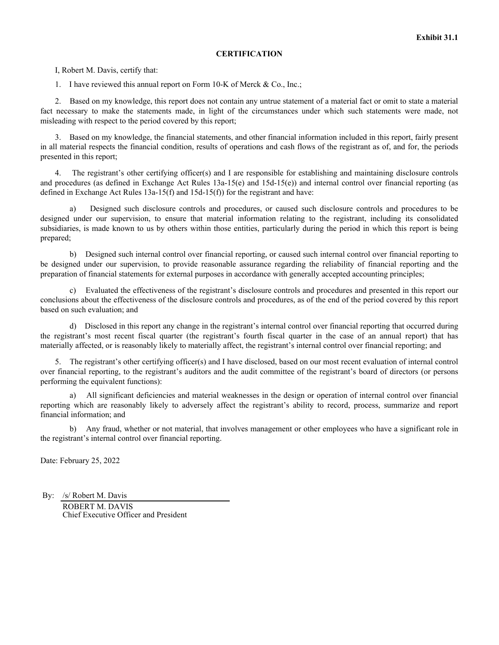## **CERTIFICATION**

I, Robert M. Davis, certify that:

1. I have reviewed this annual report on Form 10-K of Merck & Co., Inc.;

2. Based on my knowledge, this report does not contain any untrue statement of a material fact or omit to state a material fact necessary to make the statements made, in light of the circumstances under which such statements were made, not misleading with respect to the period covered by this report;

3. Based on my knowledge, the financial statements, and other financial information included in this report, fairly present in all material respects the financial condition, results of operations and cash flows of the registrant as of, and for, the periods presented in this report;

4. The registrant's other certifying officer(s) and I are responsible for establishing and maintaining disclosure controls and procedures (as defined in Exchange Act Rules  $13a-15(e)$  and  $15d-15(e)$ ) and internal control over financial reporting (as defined in Exchange Act Rules 13a-15(f) and 15d-15(f)) for the registrant and have:

a) Designed such disclosure controls and procedures, or caused such disclosure controls and procedures to be designed under our supervision, to ensure that material information relating to the registrant, including its consolidated subsidiaries, is made known to us by others within those entities, particularly during the period in which this report is being prepared;

b) Designed such internal control over financial reporting, or caused such internal control over financial reporting to be designed under our supervision, to provide reasonable assurance regarding the reliability of financial reporting and the preparation of financial statements for external purposes in accordance with generally accepted accounting principles;

c) Evaluated the effectiveness of the registrant's disclosure controls and procedures and presented in this report our conclusions about the effectiveness of the disclosure controls and procedures, as of the end of the period covered by this report based on such evaluation; and

d) Disclosed in this report any change in the registrant's internal control over financial reporting that occurred during the registrant's most recent fiscal quarter (the registrant's fourth fiscal quarter in the case of an annual report) that has materially affected, or is reasonably likely to materially affect, the registrant's internal control over financial reporting; and

5. The registrant's other certifying officer(s) and I have disclosed, based on our most recent evaluation of internal control over financial reporting, to the registrant's auditors and the audit committee of the registrant's board of directors (or persons performing the equivalent functions):

a) All significant deficiencies and material weaknesses in the design or operation of internal control over financial reporting which are reasonably likely to adversely affect the registrant's ability to record, process, summarize and report financial information; and

b) Any fraud, whether or not material, that involves management or other employees who have a significant role in the registrant's internal control over financial reporting.

Date: February 25, 2022

By: /s/ Robert M. Davis ROBERT M. DAVIS Chief Executive Officer and President